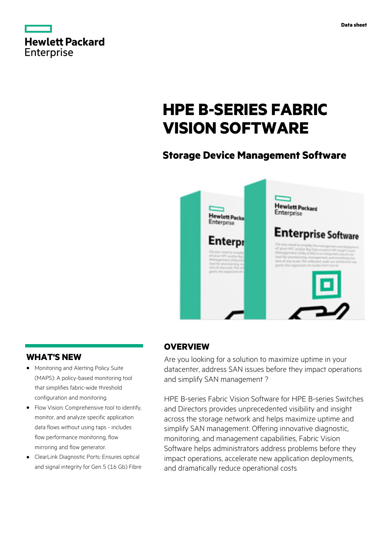|                   | <b>Hewlett Packard</b> |
|-------------------|------------------------|
| <b>Enterprise</b> |                        |

# **HPE B-SERIES FABRIC VISION SOFTWARE**

# **Storage Device Management Software**



# **WHAT'S NEW**

- **·** Monitoring and Alerting Policy Suite (MAPS): A policy-based monitoring tool that simplifies fabric-wide threshold configuration and monitoring.
- **·** Flow Vision: Comprehensive tool to identify, monitor, and analyze specific application data flows without using taps - includes flow performance monitoring, flow mirroring and flow generator.
- **·** ClearLink Diagnostic Ports: Ensures optical and signal integrity for Gen 5 (16 Gb) Fibre

# **OVERVIEW**

Are you looking for a solution to maximize uptime in your datacenter, address SAN issues before they impact operations and simplify SAN management ?

HPE B-series Fabric Vision Software for HPE B-series Switches and Directors provides unprecedented visibility and insight across the storage network and helps maximize uptime and simplify SAN management. Offering innovative diagnostic, monitoring, and management capabilities, Fabric Vision Software helps administrators address problems before they impact operations, accelerate new application deployments, and dramatically reduce operational costs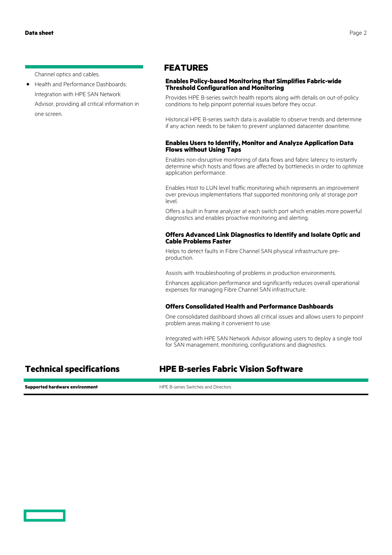Channel optics and cables.

**·** Health and Performance Dashboards: Integration with HPE SAN Network Advisor, providing all critical information in one screen.

### **FEATURES**

#### **Enables Policy-based Monitoring that Simplifies Fabric-wide Threshold Configuration and Monitoring**

Provides HPE B-series switch health reports along with details on out-of-policy conditions to help pinpoint potential issues before they occur.

Historical HPE B-series switch data is available to observe trends and determine if any action needs to be taken to prevent unplanned datacenter downtime.

#### **Enables Users to Identify, Monitor and Analyze Application Data Flows without Using Taps**

Enables non-disruptive monitoring of data flows and fabric latency to instantly determine which hosts and flows are affected by bottlenecks in order to optimize application performance.

Enables Host to LUN level traffic monitoring which represents an improvement over previous implementations that supported monitoring only at storage port level.

Offers a built in frame analyzer at each switch port which enables more powerful diagnostics and enables proactive monitoring and alerting.

#### **Offers Advanced Link Diagnostics to Identify and Isolate Optic and Cable Problems Faster**

Helps to detect faults in Fibre Channel SAN physical infrastructure preproduction.

Assists with troubleshooting of problems in production environments.

Enhances application performance and significantly reduces overall operational expenses for managing Fibre Channel SAN infrastructure.

#### **Offers Consolidated Health and Performance Dashboards**

One consolidated dashboard shows all critical issues and allows users to pinpoint problem areas making it convenient to use.

Integrated with HPE SAN Network Advisor allowing users to deploy a single tool for SAN management, monitoring, configurations and diagnostics.

# **Technical specifications HPE B-series Fabric Vision Software**

**Supported hardware environment HPE B-series Switches and Directors**